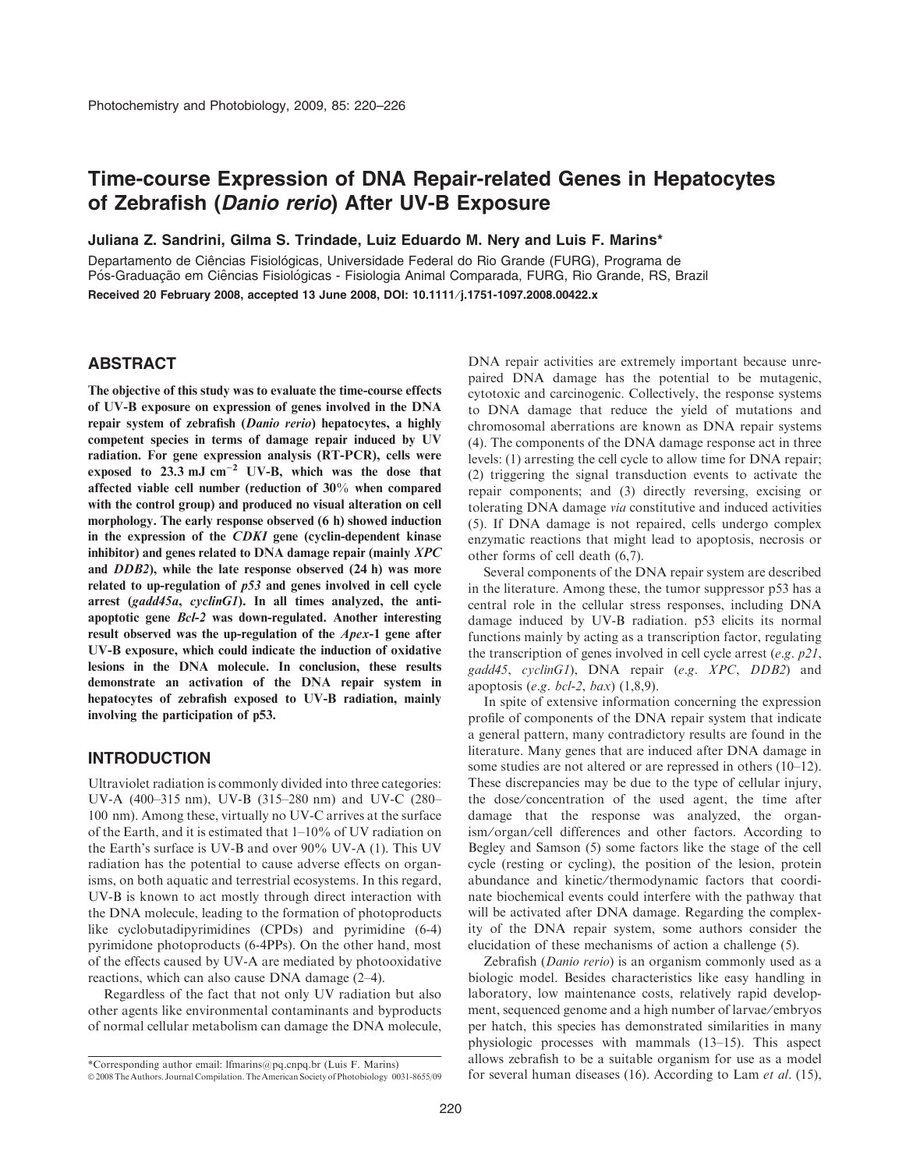# Time-course Expression of DNA Repair-related Genes in Hepatocytes of Zebrafish (Danio rerio) After UV-B Exposure

Juliana Z. Sandrini, Gilma S. Trindade, Luiz Eduardo M. Nery and Luis F. Marins\*

Departamento de Ciências Fisiológicas, Universidade Federal do Rio Grande (FURG), Programa de Pós-Graduação em Ciências Fisiológicas - Fisiologia Animal Comparada, FURG, Rio Grande, RS, Brazil Received 20 February 2008, accepted 13 June 2008, DOI: 10.1111/j.1751-1097.2008.00422.x

## ABSTRACT

The objective of this study was to evaluate the time-course effects of UV-B exposure on expression of genes involved in the DNA repair system of zebrafish (Danio rerio) hepatocytes, a highly competent species in terms of damage repair induced by UV radiation. For gene expression analysis (RT-PCR), cells were exposed to  $23.3 \text{ mJ cm}^{-2}$  UV-B, which was the dose that affected viable cell number (reduction of 30% when compared with the control group) and produced no visual alteration on cell morphology. The early response observed (6 h) showed induction in the expression of the CDKI gene (cyclin-dependent kinase inhibitor) and genes related to DNA damage repair (mainly XPC and DDB2), while the late response observed (24 h) was more related to up-regulation of p53 and genes involved in cell cycle arrest (gadd45a, cyclinG1). In all times analyzed, the antiapoptotic gene Bcl-2 was down-regulated. Another interesting result observed was the up-regulation of the Apex-1 gene after UV-B exposure, which could indicate the induction of oxidative lesions in the DNA molecule. In conclusion, these results demonstrate an activation of the DNA repair system in hepatocytes of zebrafish exposed to UV-B radiation, mainly involving the participation of p53.

## INTRODUCTION

Ultraviolet radiation is commonly divided into three categories: UV-A (400–315 nm), UV-B (315–280 nm) and UV-C (280– 100 nm). Among these, virtually no UV-C arrives at the surface of the Earth, and it is estimated that 1–10% of UV radiation on the Earth's surface is UV-B and over 90% UV-A (1). This UV radiation has the potential to cause adverse effects on organisms, on both aquatic and terrestrial ecosystems. In this regard, UV-B is known to act mostly through direct interaction with the DNA molecule, leading to the formation of photoproducts like cyclobutadipyrimidines (CPDs) and pyrimidine (6-4) pyrimidone photoproducts (6-4PPs). On the other hand, most of the effects caused by UV-A are mediated by photooxidative reactions, which can also cause DNA damage (2–4).

Regardless of the fact that not only UV radiation but also other agents like environmental contaminants and byproducts of normal cellular metabolism can damage the DNA molecule,

DNA repair activities are extremely important because unrepaired DNA damage has the potential to be mutagenic, cytotoxic and carcinogenic. Collectively, the response systems to DNA damage that reduce the yield of mutations and chromosomal aberrations are known as DNA repair systems (4). The components of the DNA damage response act in three levels: (1) arresting the cell cycle to allow time for DNA repair; (2) triggering the signal transduction events to activate the repair components; and (3) directly reversing, excising or tolerating DNA damage via constitutive and induced activities (5). If DNA damage is not repaired, cells undergo complex enzymatic reactions that might lead to apoptosis, necrosis or other forms of cell death (6,7).

Several components of the DNA repair system are described in the literature. Among these, the tumor suppressor p53 has a central role in the cellular stress responses, including DNA damage induced by UV-B radiation. p53 elicits its normal functions mainly by acting as a transcription factor, regulating the transcription of genes involved in cell cycle arrest  $(e.g. p21,$ gadd45, cyclinG1), DNA repair (e.g. XPC, DDB2) and apoptosis (e.g. bcl-2, bax)  $(1,8,9)$ .

In spite of extensive information concerning the expression profile of components of the DNA repair system that indicate a general pattern, many contradictory results are found in the literature. Many genes that are induced after DNA damage in some studies are not altered or are repressed in others (10–12). These discrepancies may be due to the type of cellular injury, the dose/concentration of the used agent, the time after damage that the response was analyzed, the organism ⁄ organ ⁄ cell differences and other factors. According to Begley and Samson (5) some factors like the stage of the cell cycle (resting or cycling), the position of the lesion, protein abundance and kinetic/thermodynamic factors that coordinate biochemical events could interfere with the pathway that will be activated after DNA damage. Regarding the complexity of the DNA repair system, some authors consider the elucidation of these mechanisms of action a challenge (5).

Zebrafish (Danio rerio) is an organism commonly used as a biologic model. Besides characteristics like easy handling in laboratory, low maintenance costs, relatively rapid development, sequenced genome and a high number of larvae ⁄ embryos per hatch, this species has demonstrated similarities in many physiologic processes with mammals (13–15). This aspect allows zebrafish to be a suitable organism for use as a model

<sup>\*</sup>Corresponding author email: Ifmarins@pq.cnpq.br (Luis F. Marins)<br>© 2008 The Authors. Journal Compilation. The American Society of Photobiology 0031-8655/09 for several human diseases (16). According to Lam *et al.* (15),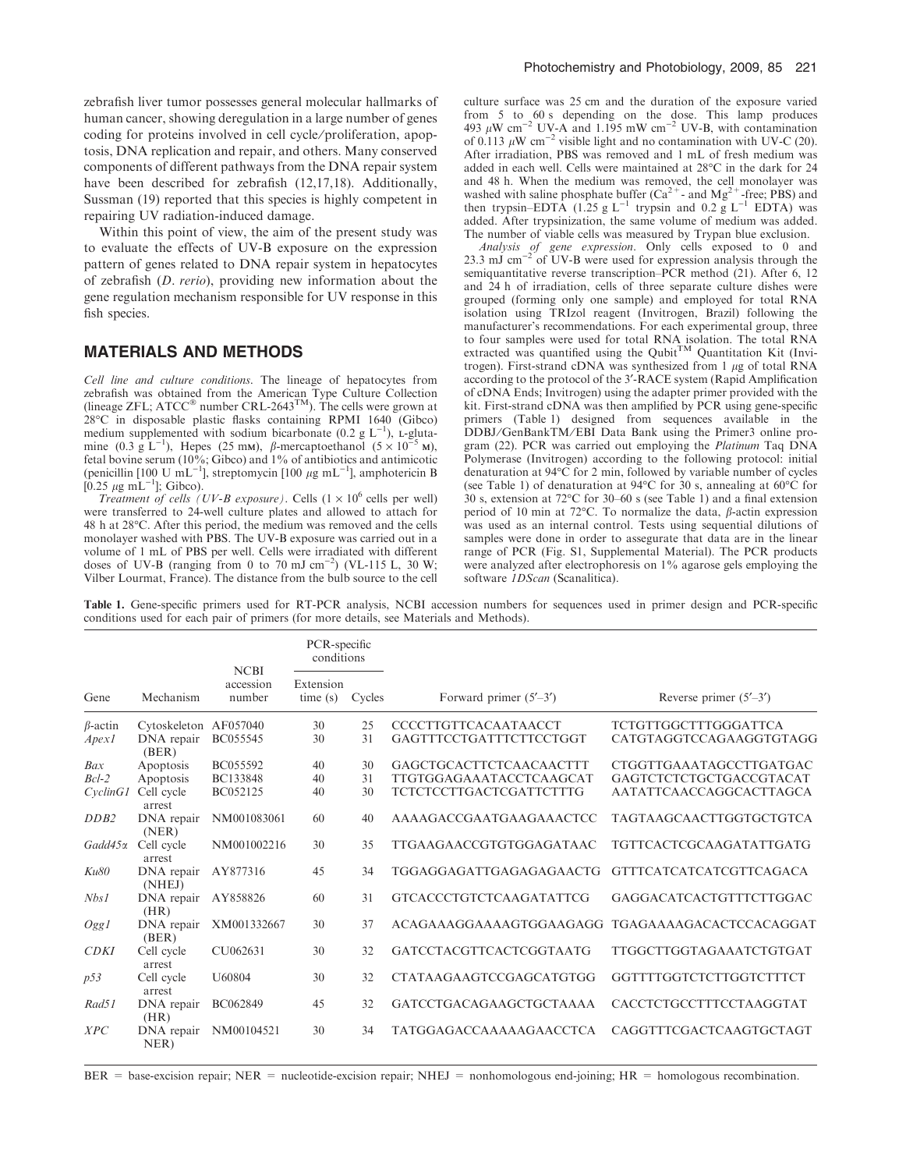zebrafish liver tumor possesses general molecular hallmarks of human cancer, showing deregulation in a large number of genes coding for proteins involved in cell cycle ⁄ proliferation, apoptosis, DNA replication and repair, and others. Many conserved components of different pathways from the DNA repair system have been described for zebrafish (12,17,18). Additionally, Sussman (19) reported that this species is highly competent in repairing UV radiation-induced damage.

Within this point of view, the aim of the present study was to evaluate the effects of UV-B exposure on the expression pattern of genes related to DNA repair system in hepatocytes of zebrafish (D. rerio), providing new information about the gene regulation mechanism responsible for UV response in this fish species.

#### MATERIALS AND METHODS

Cell line and culture conditions. The lineage of hepatocytes from zebrafish was obtained from the American Type Culture Collection (lineage ZFL;  $\textrm{ATCC}^{\circledast}$  number  $\textrm{CRL-2643}^{\textrm{TM}}$ ). The cells were grown at 28°C in disposable plastic flasks containing RPMI 1640 (Gibco) medium supplemented with sodium bicarbonate (0.2 g  $L^{-1}$ ), L-glutamine (0.3 g  $\mathbf{L}^{-1}$ ), Hepes (25 mM),  $\beta$ -mercaptoethanol (5 × 10<sup>-5</sup> M), fetal bovine serum ( $10\%$ ; Gibco) and  $1\%$  of antibiotics and antimicotic (penicillin [100 U mL<sup>-1</sup>], streptomycin [100  $\mu$ g mL<sup>-1</sup>], amphotericin B [0.25  $\mu$ g mL<sup>-1</sup>]; Gibco).

Treatment of cells (UV-B exposure). Cells  $(1 \times 10^6$  cells per well) were transferred to 24-well culture plates and allowed to attach for 48 h at 28°C. After this period, the medium was removed and the cells monolayer washed with PBS. The UV-B exposure was carried out in a volume of 1 mL of PBS per well. Cells were irradiated with different doses of UV-B (ranging from 0 to 70 mJ cm<sup>-2</sup>) (VL-115 L, 30 W; Vilber Lourmat, France). The distance from the bulb source to the cell

culture surface was 25 cm and the duration of the exposure varied from 5 to 60 s depending on the dose. This lamp produces 493  $\mu$ W cm<sup>-2</sup> UV-A and 1.195 mW cm<sup>-2</sup> UV-B, with contamination of 0.113  $\mu$ W cm<sup>-2</sup> visible light and no contamination with UV-C (20). After irradiation, PBS was removed and 1 mL of fresh medium was added in each well. Cells were maintained at  $28^{\circ}$ C in the dark for  $24$ and 48 h. When the medium was removed, the cell monolayer was washed with saline phosphate buffer ( $Ca^{2+}$ - and  $Mg^{2+}$ -free; PBS) and then trypsin–EDTA (1.25 g L<sup>-1</sup> trypsin and 0.2 g L<sup>-1</sup> EDTA) was added. After trypsinization, the same volume of medium was added. The number of viable cells was measured by Trypan blue exclusion.

*Analysis of gene expression*. Only cells exposed to 0 and 23.3 mJ cm<sup>-2</sup> of UV-B were used for expression analysis through the semiquantitative reverse transcription–PCR method (21). After 6, 12 and 24 h of irradiation, cells of three separate culture dishes were grouped (forming only one sample) and employed for total RNA isolation using TRIzol reagent (Invitrogen, Brazil) following the manufacturer's recommendations. For each experimental group, three to four samples were used for total RNA isolation. The total RNA extracted was quantified using the Qubit<sup>TM</sup> Quantitation Kit (Invitrogen). First-strand cDNA was synthesized from  $1 \mu$ g of total RNA according to the protocol of the 3'-RACE system (Rapid Amplification of cDNA Ends; Invitrogen) using the adapter primer provided with the kit. First-strand cDNA was then amplified by PCR using gene-specific primers (Table 1) designed from sequences available in the DDBJ/GenBankTM/EBI Data Bank using the Primer3 online program (22). PCR was carried out employing the *Platinum* Taq DNA Polymerase (Invitrogen) according to the following protocol: initial denaturation at  $94^{\circ}$ C for 2 min, followed by variable number of cycles (see Table 1) of denaturation at 94 $\rm{°C}$  for 30 s, annealing at 60 $\rm{°C}$  for  $30$  s, extension at 72°C for 30–60 s (see Table 1) and a final extension period of 10 min at 72 $^{\circ}$ C. To normalize the data, *B*-actin expression was used as an internal control. Tests using sequential dilutions of samples were done in order to assegurate that data are in the linear range of PCR (Fig. S1, Supplemental Material). The PCR products were analyzed after electrophoresis on 1% agarose gels employing the software *1DScan* (Scanalitica).

Table 1. Gene-specific primers used for RT-PCR analysis, NCBI accession numbers for sequences used in primer design and PCR-specific conditions used for each pair of primers (for more details, see Materials and Methods).

| Gene           | Mechanism             | <b>NCBI</b><br>accession<br>number | PCR-specific<br>conditions |        |                                                      |                                |
|----------------|-----------------------|------------------------------------|----------------------------|--------|------------------------------------------------------|--------------------------------|
|                |                       |                                    | Extension<br>time(s)       | Cycles | Forward primer $(5'–3')$<br>Reverse primer $(5'–3')$ |                                |
| $\beta$ -actin | Cytoskeleton AF057040 |                                    | 30                         | 25     | <b>CCCCTTGTTCACAATAACCT</b>                          | <b>TCTGTTGGCTTTGGGATTCA</b>    |
| <i>Apex1</i>   | DNA repair<br>(BER)   | BC055545                           | 30                         | 31     | GAGTTTCCTGATTTCTTCCTGGT                              | CATGTAGGTCCAGAAGGTGTAGG        |
| Bax            | Apoptosis             | BC055592                           | 40                         | 30     | GAGCTGCACTTCTCAACAACTTT                              | CTGGTTGAAATAGCCTTGATGAC        |
| $Bcl-2$        | Apoptosis             | <b>BC133848</b>                    | 40                         | 31     | <b>TTGTGGAGAAATACCTCAAGCAT</b>                       | GAGTCTCTCTGCTGACCGTACAT        |
| CyclinGI       | Cell cycle<br>arrest  | BC052125                           | 40                         | 30     | <b>TCTCTCCTTGACTCGATTCTTTG</b>                       | AATATTCAACCAGGCACTTAGCA        |
| DDB2           | DNA repair<br>(NER)   | NM001083061                        | 60                         | 40     | AAAAGACCGAATGAAGAAACTCC                              | <b>TAGTAAGCAACTTGGTGCTGTCA</b> |
| Gadd45α        | Cell cycle<br>arrest  | NM001002216                        | 30                         | 35     | TTGAAGAACCGTGTGGAGATAAC                              | <b>TGTTCACTCGCAAGATATTGATG</b> |
| Ku80           | DNA repair<br>(NHEJ)  | AY877316                           | 45                         | 34     | TGGAGGAGATTGAGAGAGAACTG                              | <b>GTTTCATCATCATCGTTCAGACA</b> |
| Nbs1           | DNA repair<br>(HR)    | AY858826                           | 60                         | 31     | <b>GTCACCCTGTCTCAAGATATTCG</b>                       | GAGGACATCACTGTTTCTTGGAC        |
| OggI           | DNA repair<br>(BER)   | XM001332667                        | 30                         | 37     | ACAGAAAGGAAAAGTGGAAGAGG                              | <b>TGAGAAAAGACACTCCACAGGAT</b> |
| CDKI           | Cell cycle<br>arrest  | CU062631                           | 30                         | 32     | <b>GATCCTACGTTCACTCGGTAATG</b>                       | <b>TTGGCTTGGTAGAAATCTGTGAT</b> |
| p53            | Cell cycle<br>arrest  | U60804                             | 30                         | 32     | <b>CTATAAGAAGTCCGAGCATGTGG</b>                       | GGTTTTGGTCTCTTGGTCTTTCT        |
| Rad51          | DNA repair<br>(HR)    | BC062849                           | 45                         | 32     | <b>GATCCTGACAGAAGCTGCTAAAA</b>                       | CACCTCTGCCTTTCCTAAGGTAT        |
| XPC            | DNA repair<br>NER)    | NM00104521                         | 30                         | 34     | <b>TATGGAGACCAAAAAGAACCTCA</b>                       | CAGGTTTCGACTCAAGTGCTAGT        |

 $BER = base-excision repair$ ;  $NER = nucleotide-excision repair$ ;  $NHEJ = nonhomologous end-joining$ ;  $HR = homologous recombination$ .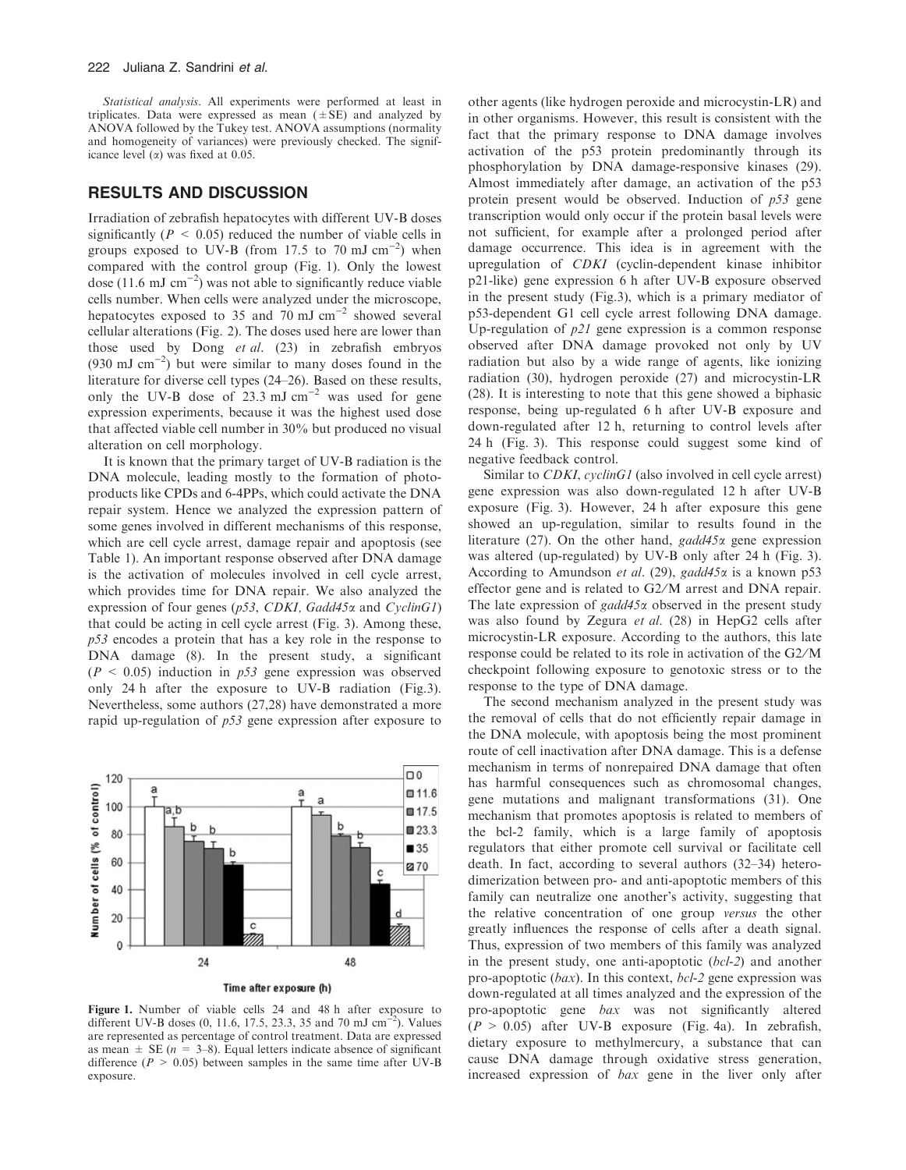Statistical analysis. All experiments were performed at least in triplicates. Data were expressed as mean  $(\pm SE)$  and analyzed by ANOVA followed by the Tukey test. ANOVA assumptions (normality and homogeneity of variances) were previously checked. The significance level  $(\alpha)$  was fixed at 0.05.

### RESULTS AND DISCUSSION

Irradiation of zebrafish hepatocytes with different UV-B doses significantly ( $P \leq 0.05$ ) reduced the number of viable cells in groups exposed to UV-B (from 17.5 to 70 mJ  $\text{cm}^{-2}$ ) when compared with the control group (Fig. 1). Only the lowest dose (11.6 mJ cm<sup>-2</sup>) was not able to significantly reduce viable cells number. When cells were analyzed under the microscope, hepatocytes exposed to 35 and 70 mJ cm<sup>-2</sup> showed several cellular alterations (Fig. 2). The doses used here are lower than those used by Dong et al. (23) in zebrafish embryos  $(930 \text{ mJ cm}^{-2})$  but were similar to many doses found in the literature for diverse cell types (24–26). Based on these results, only the UV-B dose of  $23.3 \text{ mJ cm}^{-2}$  was used for gene expression experiments, because it was the highest used dose that affected viable cell number in 30% but produced no visual alteration on cell morphology.

It is known that the primary target of UV-B radiation is the DNA molecule, leading mostly to the formation of photoproducts like CPDs and 6-4PPs, which could activate the DNA repair system. Hence we analyzed the expression pattern of some genes involved in different mechanisms of this response, which are cell cycle arrest, damage repair and apoptosis (see Table 1). An important response observed after DNA damage is the activation of molecules involved in cell cycle arrest, which provides time for DNA repair. We also analyzed the expression of four genes ( $p53$ , CDKI, Gadd45 $\alpha$  and CyclinG1) that could be acting in cell cycle arrest (Fig. 3). Among these, p53 encodes a protein that has a key role in the response to DNA damage (8). In the present study, a significant  $(P < 0.05)$  induction in  $p53$  gene expression was observed only 24 h after the exposure to UV-B radiation (Fig.3). Nevertheless, some authors (27,28) have demonstrated a more rapid up-regulation of p53 gene expression after exposure to



Figure 1. Number of viable cells 24 and 48 h after exposure to different UV-B doses (0, 11.6, 17.5, 23.3, 35 and 70 mJ cm<sup>-2</sup>). Values are represented as percentage of control treatment. Data are expressed as mean  $\pm$  SE ( $n = 3-8$ ). Equal letters indicate absence of significant difference ( $P > 0.05$ ) between samples in the same time after UV-B exposure.

other agents (like hydrogen peroxide and microcystin-LR) and in other organisms. However, this result is consistent with the fact that the primary response to DNA damage involves activation of the p53 protein predominantly through its phosphorylation by DNA damage-responsive kinases (29). Almost immediately after damage, an activation of the p53 protein present would be observed. Induction of  $p53$  gene transcription would only occur if the protein basal levels were not sufficient, for example after a prolonged period after damage occurrence. This idea is in agreement with the upregulation of CDKI (cyclin-dependent kinase inhibitor p21-like) gene expression 6 h after UV-B exposure observed in the present study (Fig.3), which is a primary mediator of p53-dependent G1 cell cycle arrest following DNA damage. Up-regulation of  $p21$  gene expression is a common response observed after DNA damage provoked not only by UV radiation but also by a wide range of agents, like ionizing radiation (30), hydrogen peroxide (27) and microcystin-LR (28). It is interesting to note that this gene showed a biphasic response, being up-regulated 6 h after UV-B exposure and down-regulated after 12 h, returning to control levels after 24 h (Fig. 3). This response could suggest some kind of negative feedback control.

Similar to *CDKI*, *cyclinG1* (also involved in cell cycle arrest) gene expression was also down-regulated 12 h after UV-B exposure (Fig. 3). However, 24 h after exposure this gene showed an up-regulation, similar to results found in the literature (27). On the other hand,  $gadd45\alpha$  gene expression was altered (up-regulated) by UV-B only after 24 h (Fig. 3). According to Amundson et al. (29), gadd45 $\alpha$  is a known p53 effector gene and is related to G2/M arrest and DNA repair. The late expression of *gadd*45 $\alpha$  observed in the present study was also found by Zegura et al. (28) in HepG2 cells after microcystin-LR exposure. According to the authors, this late response could be related to its role in activation of the G2/M checkpoint following exposure to genotoxic stress or to the response to the type of DNA damage.

The second mechanism analyzed in the present study was the removal of cells that do not efficiently repair damage in the DNA molecule, with apoptosis being the most prominent route of cell inactivation after DNA damage. This is a defense mechanism in terms of nonrepaired DNA damage that often has harmful consequences such as chromosomal changes, gene mutations and malignant transformations (31). One mechanism that promotes apoptosis is related to members of the bcl-2 family, which is a large family of apoptosis regulators that either promote cell survival or facilitate cell death. In fact, according to several authors (32–34) heterodimerization between pro- and anti-apoptotic members of this family can neutralize one another's activity, suggesting that the relative concentration of one group versus the other greatly influences the response of cells after a death signal. Thus, expression of two members of this family was analyzed in the present study, one anti-apoptotic (bcl-2) and another pro-apoptotic  $(bax)$ . In this context,  $bcl-2$  gene expression was down-regulated at all times analyzed and the expression of the pro-apoptotic gene bax was not significantly altered  $(P > 0.05)$  after UV-B exposure (Fig. 4a). In zebrafish, dietary exposure to methylmercury, a substance that can cause DNA damage through oxidative stress generation, increased expression of bax gene in the liver only after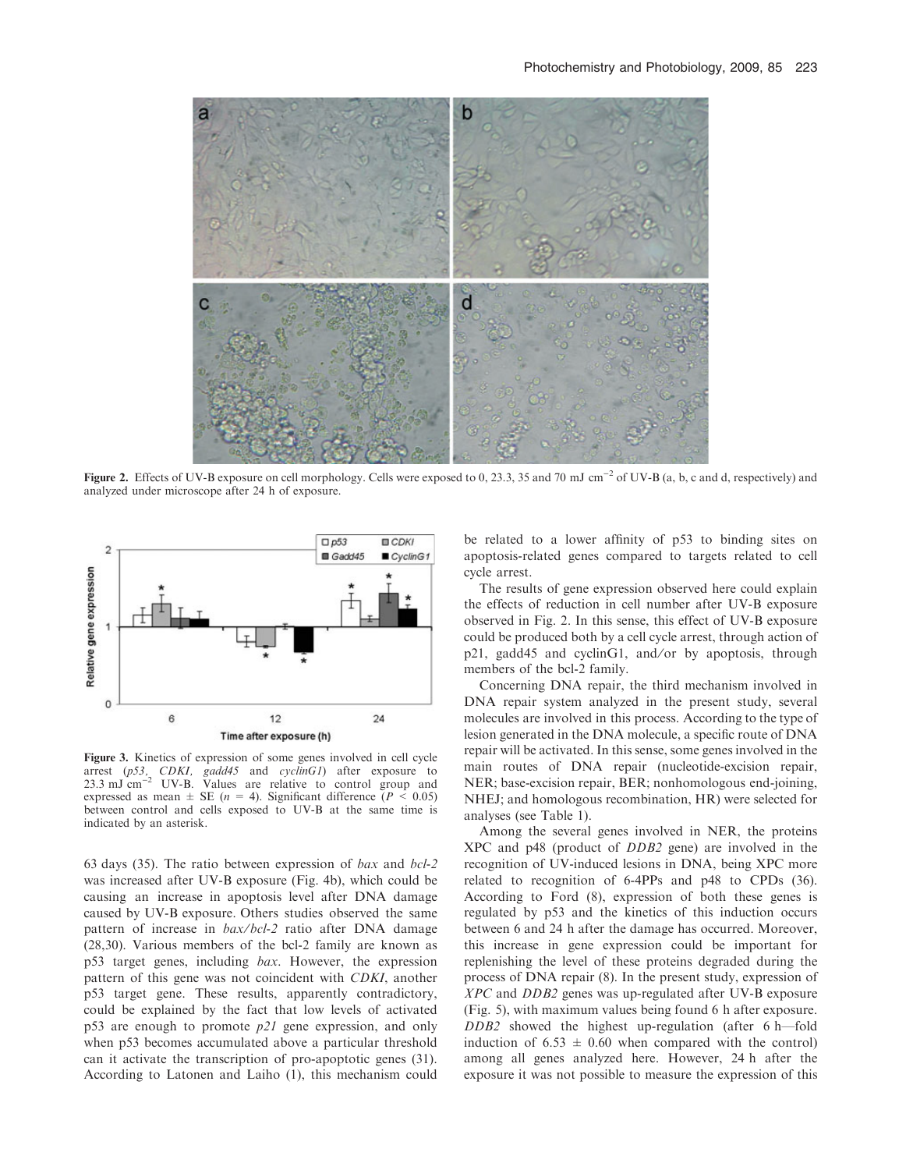

Figure 2. Effects of UV-B exposure on cell morphology. Cells were exposed to 0, 23.3, 35 and 70 mJ cm<sup>-2</sup> of UV-B (a, b, c and d, respectively) and analyzed under microscope after 24 h of exposure.



Figure 3. Kinetics of expression of some genes involved in cell cycle arrest (p53, CDKI, gadd45 and cyclinG1) after exposure to  $23.3 \text{ mJ cm}^{-2}$  UV-B. Values are relative to control group and expressed as mean  $\pm$  SE (*n* = 4). Significant difference (*P* < 0.05) between control and cells exposed to UV-B at the same time is indicated by an asterisk.

63 days (35). The ratio between expression of bax and bcl-2 was increased after UV-B exposure (Fig. 4b), which could be causing an increase in apoptosis level after DNA damage caused by UV-B exposure. Others studies observed the same pattern of increase in bax/bcl-2 ratio after DNA damage (28,30). Various members of the bcl-2 family are known as p53 target genes, including bax. However, the expression pattern of this gene was not coincident with CDKI, another p53 target gene. These results, apparently contradictory, could be explained by the fact that low levels of activated p53 are enough to promote  $p21$  gene expression, and only when p53 becomes accumulated above a particular threshold can it activate the transcription of pro-apoptotic genes (31). According to Latonen and Laiho (1), this mechanism could

be related to a lower affinity of p53 to binding sites on apoptosis-related genes compared to targets related to cell cycle arrest.

The results of gene expression observed here could explain the effects of reduction in cell number after UV-B exposure observed in Fig. 2. In this sense, this effect of UV-B exposure could be produced both by a cell cycle arrest, through action of p21, gadd45 and cyclinG1, and/or by apoptosis, through members of the bcl-2 family.

Concerning DNA repair, the third mechanism involved in DNA repair system analyzed in the present study, several molecules are involved in this process. According to the type of lesion generated in the DNA molecule, a specific route of DNA repair will be activated. In this sense, some genes involved in the main routes of DNA repair (nucleotide-excision repair, NER; base-excision repair, BER; nonhomologous end-joining, NHEJ; and homologous recombination, HR) were selected for analyses (see Table 1).

Among the several genes involved in NER, the proteins XPC and p48 (product of DDB2 gene) are involved in the recognition of UV-induced lesions in DNA, being XPC more related to recognition of 6-4PPs and p48 to CPDs (36). According to Ford (8), expression of both these genes is regulated by p53 and the kinetics of this induction occurs between 6 and 24 h after the damage has occurred. Moreover, this increase in gene expression could be important for replenishing the level of these proteins degraded during the process of DNA repair (8). In the present study, expression of XPC and DDB2 genes was up-regulated after UV-B exposure (Fig. 5), with maximum values being found 6 h after exposure. DDB2 showed the highest up-regulation (after 6 h—fold induction of  $6.53 \pm 0.60$  when compared with the control) among all genes analyzed here. However, 24 h after the exposure it was not possible to measure the expression of this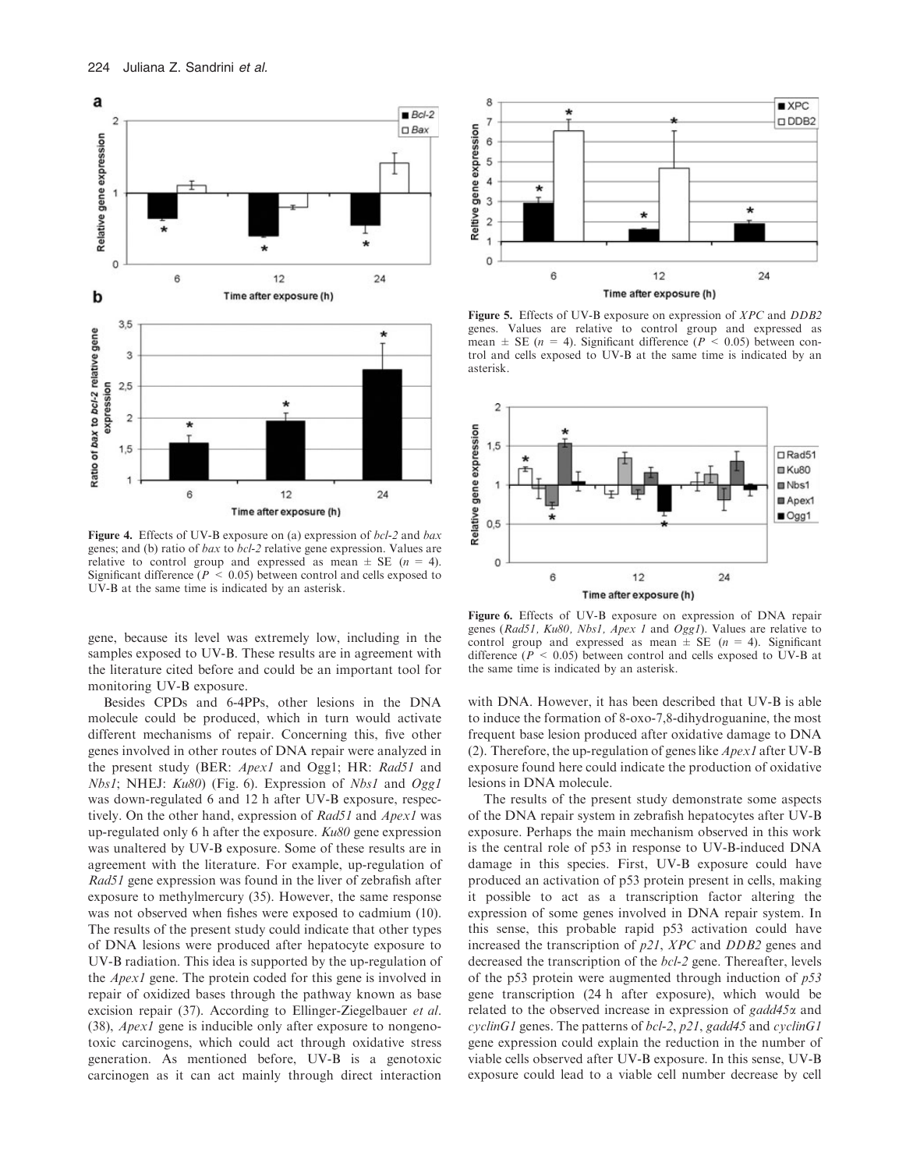

Figure 4. Effects of UV-B exposure on (a) expression of  $bc1-2$  and  $bax$ genes; and (b) ratio of bax to bcl-2 relative gene expression. Values are relative to control group and expressed as mean  $\pm$  SE ( $n = 4$ ). Significant difference ( $P \le 0.05$ ) between control and cells exposed to UV-B at the same time is indicated by an asterisk.

gene, because its level was extremely low, including in the samples exposed to UV-B. These results are in agreement with the literature cited before and could be an important tool for monitoring UV-B exposure.

Besides CPDs and 6-4PPs, other lesions in the DNA molecule could be produced, which in turn would activate different mechanisms of repair. Concerning this, five other genes involved in other routes of DNA repair were analyzed in the present study (BER: Apex1 and Ogg1; HR: Rad51 and  $Nbs1$ ; NHEJ:  $Ku80$ ) (Fig. 6). Expression of  $Nbs1$  and  $Ogg1$ was down-regulated 6 and 12 h after UV-B exposure, respectively. On the other hand, expression of Rad51 and Apex1 was up-regulated only 6 h after the exposure.  $Ku80$  gene expression was unaltered by UV-B exposure. Some of these results are in agreement with the literature. For example, up-regulation of Rad51 gene expression was found in the liver of zebrafish after exposure to methylmercury (35). However, the same response was not observed when fishes were exposed to cadmium (10). The results of the present study could indicate that other types of DNA lesions were produced after hepatocyte exposure to UV-B radiation. This idea is supported by the up-regulation of the Apex1 gene. The protein coded for this gene is involved in repair of oxidized bases through the pathway known as base excision repair (37). According to Ellinger-Ziegelbauer *et al.* (38), Apex1 gene is inducible only after exposure to nongenotoxic carcinogens, which could act through oxidative stress generation. As mentioned before, UV-B is a genotoxic carcinogen as it can act mainly through direct interaction



Figure 5. Effects of UV-B exposure on expression of *XPC* and *DDB2* genes. Values are relative to control group and expressed as mean  $\pm$  SE (*n* = 4). Significant difference (*P* < 0.05) between control and cells exposed to UV-B at the same time is indicated by an asterisk.



Figure 6. Effects of UV-B exposure on expression of DNA repair genes (Rad51, Ku80, Nbs1, Apex 1 and Ogg1). Values are relative to control group and expressed as mean  $\pm$  SE (n = 4). Significant difference ( $P < 0.05$ ) between control and cells exposed to UV-B at the same time is indicated by an asterisk.

with DNA. However, it has been described that UV-B is able to induce the formation of 8-oxo-7,8-dihydroguanine, the most frequent base lesion produced after oxidative damage to DNA (2). Therefore, the up-regulation of genes like Apex1 after UV-B exposure found here could indicate the production of oxidative lesions in DNA molecule.

The results of the present study demonstrate some aspects of the DNA repair system in zebrafish hepatocytes after UV-B exposure. Perhaps the main mechanism observed in this work is the central role of p53 in response to UV-B-induced DNA damage in this species. First, UV-B exposure could have produced an activation of p53 protein present in cells, making it possible to act as a transcription factor altering the expression of some genes involved in DNA repair system. In this sense, this probable rapid p53 activation could have increased the transcription of p21, XPC and DDB2 genes and decreased the transcription of the bcl-2 gene. Thereafter, levels of the p53 protein were augmented through induction of  $p53$ gene transcription (24 h after exposure), which would be related to the observed increase in expression of  $gadd45\alpha$  and cyclinG1 genes. The patterns of bcl-2,  $p21$ , gadd45 and cyclinG1 gene expression could explain the reduction in the number of viable cells observed after UV-B exposure. In this sense, UV-B exposure could lead to a viable cell number decrease by cell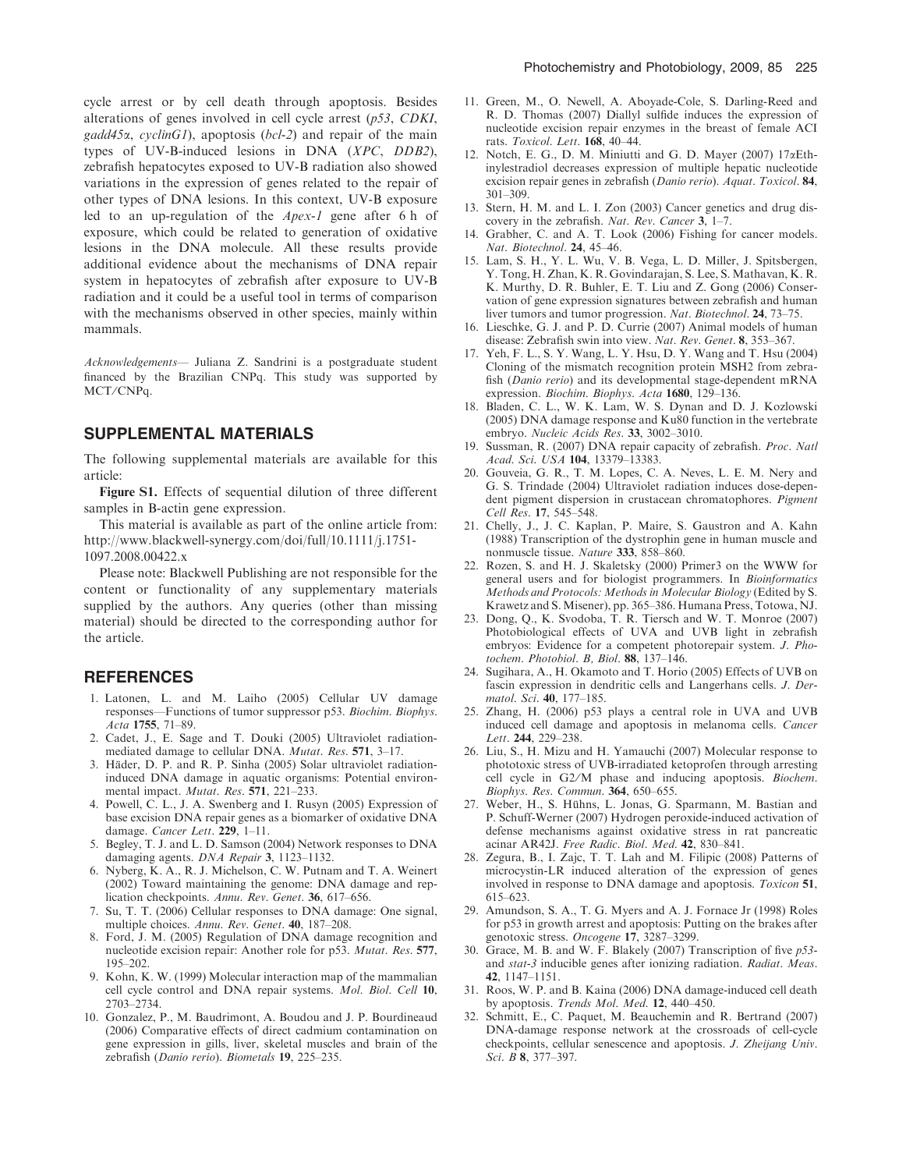cycle arrest or by cell death through apoptosis. Besides alterations of genes involved in cell cycle arrest (p53, CDKI,  $gadd45\alpha$ , cyclinG1), apoptosis (bcl-2) and repair of the main types of UV-B-induced lesions in DNA (XPC, DDB2), zebrafish hepatocytes exposed to UV-B radiation also showed variations in the expression of genes related to the repair of other types of DNA lesions. In this context, UV-B exposure led to an up-regulation of the Apex-1 gene after 6 h of exposure, which could be related to generation of oxidative lesions in the DNA molecule. All these results provide additional evidence about the mechanisms of DNA repair system in hepatocytes of zebrafish after exposure to UV-B radiation and it could be a useful tool in terms of comparison with the mechanisms observed in other species, mainly within mammals.

Acknowledgements— Juliana Z. Sandrini is a postgraduate student financed by the Brazilian CNPq. This study was supported by MCT/CNPq.

## SUPPLEMENTAL MATERIALS

The following supplemental materials are available for this article:

Figure S1. Effects of sequential dilution of three different samples in B-actin gene expression.

This material is available as part of the online article from: http://www.blackwell-synergy.com/doi/full/10.1111/j.1751- 1097.2008.00422.x

Please note: Blackwell Publishing are not responsible for the content or functionality of any supplementary materials supplied by the authors. Any queries (other than missing material) should be directed to the corresponding author for the article.

#### **REFERENCES**

- 1. Latonen, L. and M. Laiho (2005) Cellular UV damage responses—Functions of tumor suppressor p53. Biochim. Biophys. Acta 1755, 71–89.
- 2. Cadet, J., E. Sage and T. Douki (2005) Ultraviolet radiationmediated damage to cellular DNA. Mutat. Res. 571, 3–17.
- 3. Häder, D. P. and R. P. Sinha (2005) Solar ultraviolet radiationinduced DNA damage in aquatic organisms: Potential environmental impact. Mutat. Res. 571, 221-233.
- 4. Powell, C. L., J. A. Swenberg and I. Rusyn (2005) Expression of base excision DNA repair genes as a biomarker of oxidative DNA damage. Cancer Lett. 229, 1-11.
- 5. Begley, T. J. and L. D. Samson (2004) Network responses to DNA damaging agents. DNA Repair 3, 1123–1132.
- 6. Nyberg, K. A., R. J. Michelson, C. W. Putnam and T. A. Weinert (2002) Toward maintaining the genome: DNA damage and replication checkpoints. Annu. Rev. Genet. 36, 617–656.
- 7. Su, T. T. (2006) Cellular responses to DNA damage: One signal, multiple choices. Annu. Rev. Genet. 40, 187–208.
- 8. Ford, J. M. (2005) Regulation of DNA damage recognition and nucleotide excision repair: Another role for p53. Mutat. Res. 577, 195–202.
- 9. Kohn, K. W. (1999) Molecular interaction map of the mammalian cell cycle control and DNA repair systems. Mol. Biol. Cell 10, 2703–2734.
- 10. Gonzalez, P., M. Baudrimont, A. Boudou and J. P. Bourdineaud (2006) Comparative effects of direct cadmium contamination on gene expression in gills, liver, skeletal muscles and brain of the zebrafish (Danio rerio). Biometals 19, 225–235.
- 11. Green, M., O. Newell, A. Aboyade-Cole, S. Darling-Reed and R. D. Thomas (2007) Diallyl sulfide induces the expression of nucleotide excision repair enzymes in the breast of female ACI rats. Toxicol. Lett. 168, 40–44.
- 12. Notch, E. G., D. M. Miniutti and G. D. Mayer (2007) 17aEthinylestradiol decreases expression of multiple hepatic nucleotide excision repair genes in zebrafish (Danio rerio). Aquat. Toxicol. 84, 301–309.
- 13. Stern, H. M. and L. I. Zon (2003) Cancer genetics and drug discovery in the zebrafish. Nat. Rev. Cancer 3, 1–7.
- 14. Grabher, C. and A. T. Look (2006) Fishing for cancer models. Nat. Biotechnol. 24, 45–46.
- 15. Lam, S. H., Y. L. Wu, V. B. Vega, L. D. Miller, J. Spitsbergen, Y. Tong, H. Zhan, K. R. Govindarajan, S. Lee, S. Mathavan, K. R. K. Murthy, D. R. Buhler, E. T. Liu and Z. Gong (2006) Conservation of gene expression signatures between zebrafish and human liver tumors and tumor progression. Nat. Biotechnol. 24, 73-75.
- 16. Lieschke, G. J. and P. D. Currie (2007) Animal models of human disease: Zebrafish swin into view. Nat. Rev. Genet. 8, 353–367.
- 17. Yeh, F. L., S. Y. Wang, L. Y. Hsu, D. Y. Wang and T. Hsu (2004) Cloning of the mismatch recognition protein MSH2 from zebrafish (Danio rerio) and its developmental stage-dependent mRNA expression. Biochim. Biophys. Acta 1680, 129–136.
- 18. Bladen, C. L., W. K. Lam, W. S. Dynan and D. J. Kozlowski (2005) DNA damage response and Ku80 function in the vertebrate embryo. Nucleic Acids Res. 33, 3002–3010.
- 19. Sussman, R. (2007) DNA repair capacity of zebrafish. Proc. Natl Acad. Sci. USA 104, 13379–13383.
- 20. Gouveia, G. R., T. M. Lopes, C. A. Neves, L. E. M. Nery and G. S. Trindade (2004) Ultraviolet radiation induces dose-dependent pigment dispersion in crustacean chromatophores. Pigment Cell Res. 17, 545–548.
- 21. Chelly, J., J. C. Kaplan, P. Maire, S. Gaustron and A. Kahn (1988) Transcription of the dystrophin gene in human muscle and nonmuscle tissue. Nature 333, 858-860.
- 22. Rozen, S. and H. J. Skaletsky (2000) Primer3 on the WWW for general users and for biologist programmers. In Bioinformatics Methods and Protocols: Methods in Molecular Biology (Edited by S. Krawetz and S. Misener), pp. 365–386. Humana Press, Totowa, NJ.
- 23. Dong, Q., K. Svodoba, T. R. Tiersch and W. T. Monroe (2007) Photobiological effects of UVA and UVB light in zebrafish embryos: Evidence for a competent photorepair system. J. Photochem. Photobiol. B, Biol. 88, 137–146.
- 24. Sugihara, A., H. Okamoto and T. Horio (2005) Effects of UVB on fascin expression in dendritic cells and Langerhans cells. J. Dermatol. Sci. 40, 177–185.
- 25. Zhang, H. (2006) p53 plays a central role in UVA and UVB induced cell damage and apoptosis in melanoma cells. Cancer Lett. 244, 229–238.
- 26. Liu, S., H. Mizu and H. Yamauchi (2007) Molecular response to phototoxic stress of UVB-irradiated ketoprofen through arresting cell cycle in G2/M phase and inducing apoptosis. *Biochem*. Biophys. Res. Commun. 364, 650–655.
- 27. Weber, H., S. Hühns, L. Jonas, G. Sparmann, M. Bastian and P. Schuff-Werner (2007) Hydrogen peroxide-induced activation of defense mechanisms against oxidative stress in rat pancreatic acinar AR42J. Free Radic. Biol. Med. 42, 830–841.
- 28. Zegura, B., I. Zajc, T. T. Lah and M. Filipic (2008) Patterns of microcystin-LR induced alteration of the expression of genes involved in response to DNA damage and apoptosis. Toxicon 51, 615–623.
- 29. Amundson, S. A., T. G. Myers and A. J. Fornace Jr (1998) Roles for p53 in growth arrest and apoptosis: Putting on the brakes after genotoxic stress. Oncogene 17, 3287–3299.
- 30. Grace, M. B. and W. F. Blakely (2007) Transcription of five p53 and stat-3 inducible genes after ionizing radiation. Radiat. Meas. 42, 1147–1151.
- 31. Roos, W. P. and B. Kaina (2006) DNA damage-induced cell death by apoptosis. Trends Mol. Med. 12, 440–450.
- 32. Schmitt, E., C. Paquet, M. Beauchemin and R. Bertrand (2007) DNA-damage response network at the crossroads of cell-cycle checkpoints, cellular senescence and apoptosis. J. Zheijang Univ. Sci. B 8, 377–397.